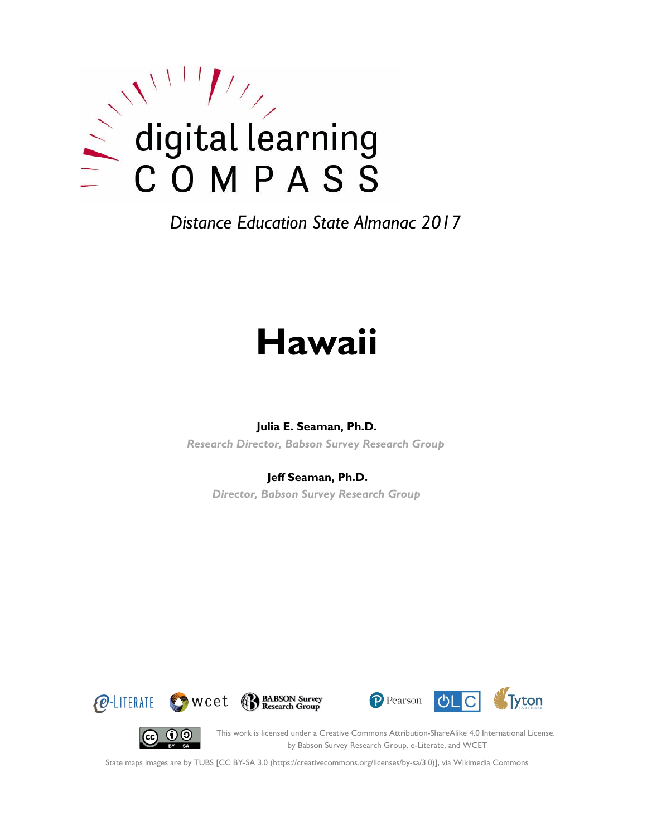

# **Hawaii**

#### **Julia E. Seaman, Ph.D.**

*Research Director, Babson Survey Research Group*

#### **Jeff Seaman, Ph.D.**

*Director, Babson Survey Research Group*







(cc)

This work is licensed under a Creative Commons Attribution-ShareAlike 4.0 International License. by Babson Survey Research Group, e-Literate, and WCET

State maps images are by TUBS [CC BY-SA 3.0 (https://creativecommons.org/licenses/by-sa/3.0)], via Wikimedia Commons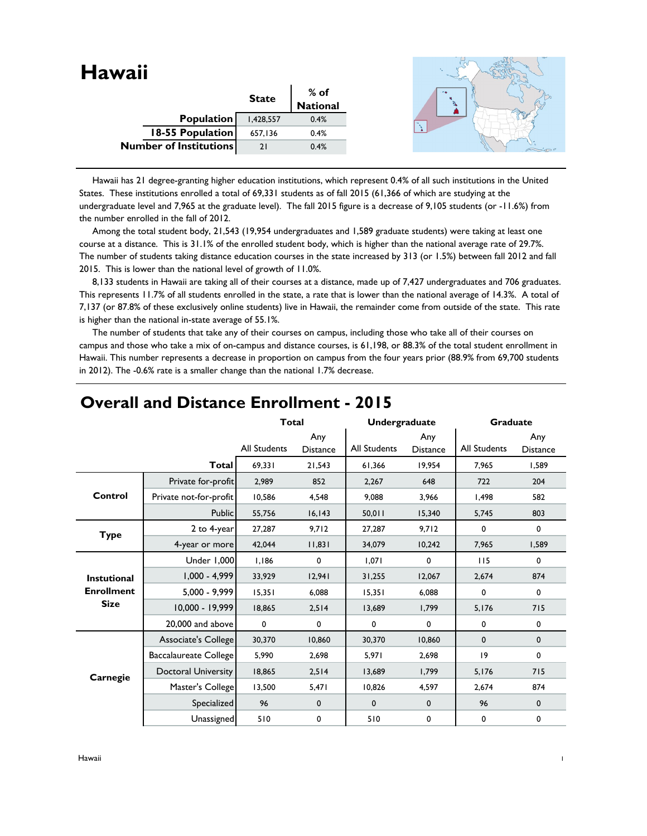| <b>Hawaii</b>                 |            |              |                         |  |
|-------------------------------|------------|--------------|-------------------------|--|
|                               |            | <b>State</b> | % of<br><b>National</b> |  |
|                               | Population | 1,428,557    | 0.4%                    |  |
| 18-55 Population              |            | 657,136      | 0.4%                    |  |
| <b>Number of Institutions</b> |            | 21           | 0.4%                    |  |
|                               |            |              |                         |  |

 Hawaii has 21 degree-granting higher education institutions, which represent 0.4% of all such institutions in the United States. These institutions enrolled a total of 69,331 students as of fall 2015 (61,366 of which are studying at the undergraduate level and 7,965 at the graduate level). The fall 2015 figure is a decrease of 9,105 students (or -11.6%) from the number enrolled in the fall of 2012.

 Among the total student body, 21,543 (19,954 undergraduates and 1,589 graduate students) were taking at least one course at a distance. This is 31.1% of the enrolled student body, which is higher than the national average rate of 29.7%. The number of students taking distance education courses in the state increased by 313 (or 1.5%) between fall 2012 and fall 2015. This is lower than the national level of growth of 11.0%.

 8,133 students in Hawaii are taking all of their courses at a distance, made up of 7,427 undergraduates and 706 graduates. This represents 11.7% of all students enrolled in the state, a rate that is lower than the national average of 14.3%. A total of 7,137 (or 87.8% of these exclusively online students) live in Hawaii, the remainder come from outside of the state. This rate is higher than the national in-state average of 55.1%.

 The number of students that take any of their courses on campus, including those who take all of their courses on campus and those who take a mix of on-campus and distance courses, is 61,198, or 88.3% of the total student enrollment in Hawaii. This number represents a decrease in proportion on campus from the four years prior (88.9% from 69,700 students in 2012). The -0.6% rate is a smaller change than the national 1.7% decrease.

|                    |                            | <b>Total</b>        |                        | <b>Undergraduate</b> |                        | <b>Graduate</b> |                        |
|--------------------|----------------------------|---------------------|------------------------|----------------------|------------------------|-----------------|------------------------|
|                    |                            | <b>All Students</b> | Any<br><b>Distance</b> | <b>All Students</b>  | Any<br><b>Distance</b> | All Students    | Any<br><b>Distance</b> |
|                    | <b>Total</b>               | 69,331              | 21,543                 | 61,366               | 19,954                 | 7,965           | 1,589                  |
|                    | Private for-profit         | 2,989               | 852                    | 2,267                | 648                    | 722             | 204                    |
| Control            | Private not-for-profit     | 10,586              | 4,548                  | 9,088                | 3,966                  | 1,498           | 582                    |
|                    | Public                     | 55,756              | 16, 143                | 50,011               | 15,340                 | 5,745           | 803                    |
| <b>Type</b>        | 2 to 4-year                | 27,287              | 9,712                  | 27,287               | 9,712                  | 0               | 0                      |
|                    | 4-year or more             | 42,044              | 11,831                 | 34,079               | 10,242                 | 7,965           | 1,589                  |
|                    | Under 1,000                | 1,186               | 0                      | 1,071                | $\mathbf 0$            | 115             | $\mathbf 0$            |
| <b>Instutional</b> | $1,000 - 4,999$            | 33,929              | 12,941                 | 31,255               | 12,067                 | 2,674           | 874                    |
| <b>Enrollment</b>  | $5,000 - 9,999$            | 15,351              | 6,088                  | 15,351               | 6,088                  | 0               | $\mathbf 0$            |
| <b>Size</b>        | 10,000 - 19,999            | 18,865              | 2,514                  | 13,689               | 1,799                  | 5,176           | 715                    |
|                    | 20,000 and above           | $\mathbf 0$         | $\mathbf 0$            | 0                    | $\mathbf 0$            | 0               | 0                      |
|                    | Associate's College        | 30,370              | 10,860                 | 30,370               | 10,860                 | $\mathbf 0$     | $\mathbf 0$            |
|                    | Baccalaureate College      | 5,990               | 2,698                  | 5,971                | 2,698                  | 9               | $\mathbf 0$            |
| Carnegie           | <b>Doctoral University</b> | 18,865              | 2,514                  | 13,689               | 1,799                  | 5,176           | 715                    |
|                    | Master's College           | 13,500              | 5,471                  | 10,826               | 4,597                  | 2,674           | 874                    |
|                    | Specialized                | 96                  | $\mathbf 0$            | 0                    | $\mathbf 0$            | 96              | $\mathbf 0$            |
|                    | Unassigned                 | 510                 | 0                      | 510                  | 0                      | 0               | 0                      |

## **Overall and Distance Enrollment - 2015**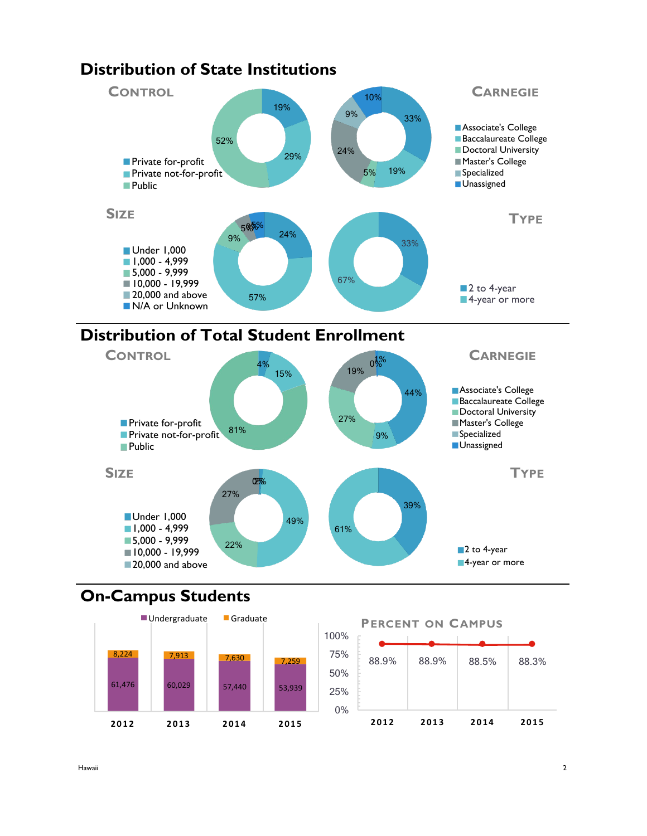

## **Distribution of State Institutions**





# **On-Campus Students**



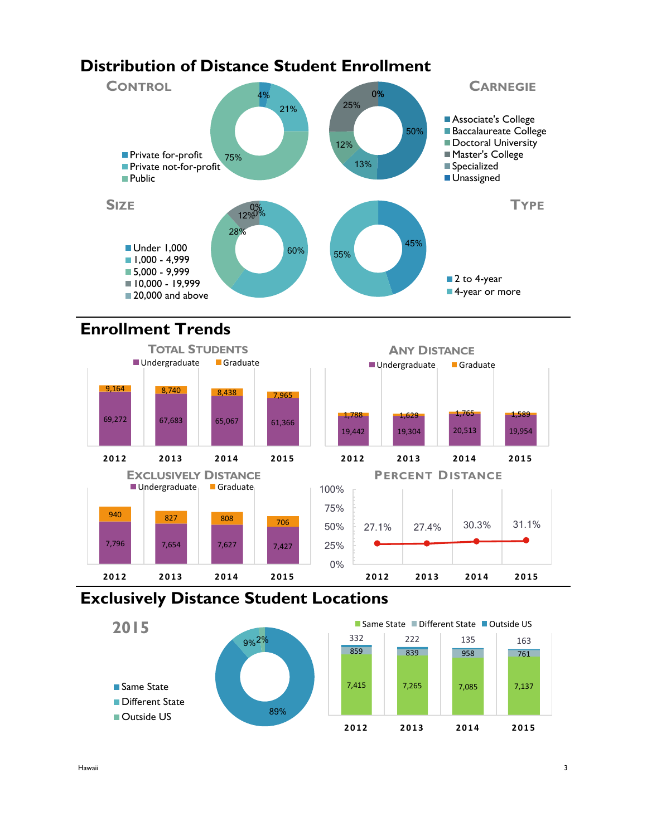# **Distribution of Distance Student Enrollment**



# **Enrollment Trends**



## **Exclusively Distance Student Locations**